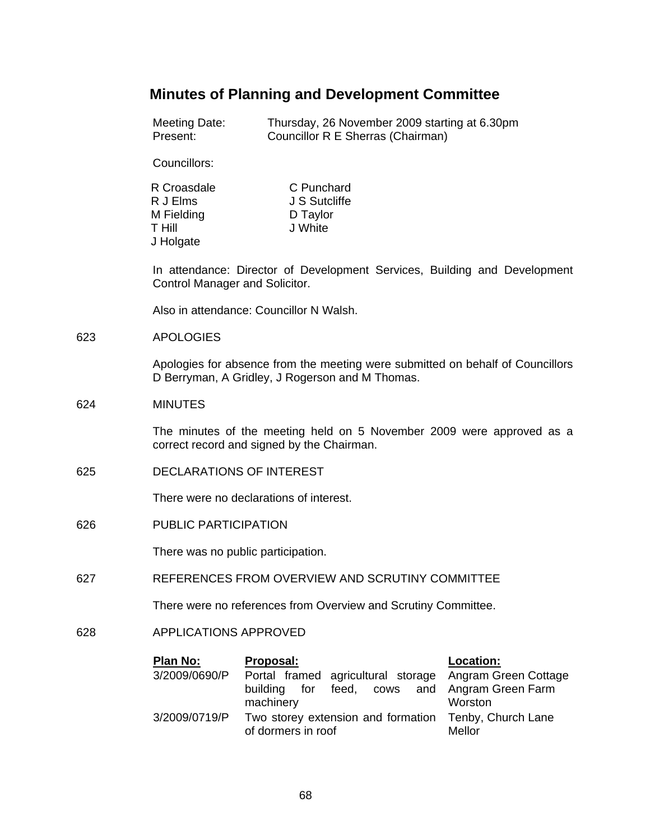# **Minutes of Planning and Development Committee**

Meeting Date: Thursday, 26 November 2009 starting at 6.30pm<br>Present: Councillor R E Sherras (Chairman) Councillor R E Sherras (Chairman)

Councillors:

| R Croasdale   | C Punchard    |
|---------------|---------------|
| R J Elms      | J S Sutcliffe |
| M Fielding    | D Taylor      |
| <b>T</b> Hill | J White       |
| J Holgate     |               |

In attendance: Director of Development Services, Building and Development Control Manager and Solicitor.

Also in attendance: Councillor N Walsh.

#### 623 APOLOGIES

Apologies for absence from the meeting were submitted on behalf of Councillors D Berryman, A Gridley, J Rogerson and M Thomas.

## 624 MINUTES

The minutes of the meeting held on 5 November 2009 were approved as a correct record and signed by the Chairman.

625 DECLARATIONS OF INTEREST

There were no declarations of interest.

626 PUBLIC PARTICIPATION

There was no public participation.

627 REFERENCES FROM OVERVIEW AND SCRUTINY COMMITTEE

There were no references from Overview and Scrutiny Committee.

## 628 APPLICATIONS APPROVED

| Plan No:      | Proposal:                                               | Location: |
|---------------|---------------------------------------------------------|-----------|
| 3/2009/0690/P | Portal framed agricultural storage Angram Green Cottage |           |
|               | building for feed, cows and Angram Green Farm           |           |
|               | machinery                                               | Worston   |
| 3/2009/0719/P | Two storey extension and formation Tenby, Church Lane   |           |
|               | of dormers in roof                                      | Mellor    |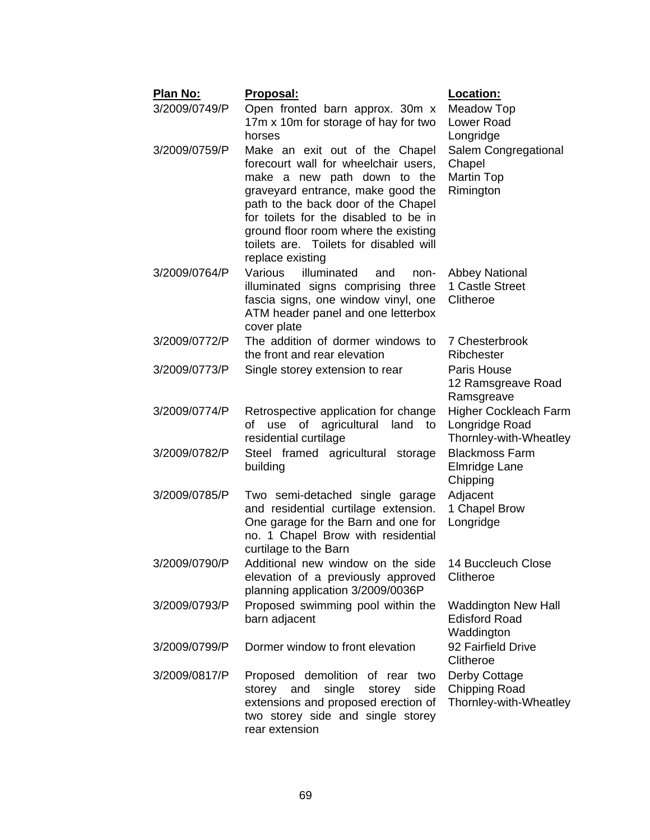| <b>Plan No:</b><br>3/2009/0749/P | Proposal:<br>Open fronted barn approx. 30m x<br>17m x 10m for storage of hay for two<br>horses                                                                                                                                                                                                                                   | Location:<br><b>Meadow Top</b><br>Lower Road<br>Longridge         |
|----------------------------------|----------------------------------------------------------------------------------------------------------------------------------------------------------------------------------------------------------------------------------------------------------------------------------------------------------------------------------|-------------------------------------------------------------------|
| 3/2009/0759/P                    | Make an exit out of the Chapel<br>forecourt wall for wheelchair users,<br>make a new path down to the<br>graveyard entrance, make good the<br>path to the back door of the Chapel<br>for toilets for the disabled to be in<br>ground floor room where the existing<br>toilets are. Toilets for disabled will<br>replace existing | Salem Congregational<br>Chapel<br><b>Martin Top</b><br>Rimington  |
| 3/2009/0764/P                    | Various<br>illuminated<br>and<br>non-<br>illuminated signs comprising three<br>fascia signs, one window vinyl, one<br>ATM header panel and one letterbox<br>cover plate                                                                                                                                                          | <b>Abbey National</b><br>1 Castle Street<br>Clitheroe             |
| 3/2009/0772/P                    | The addition of dormer windows to<br>the front and rear elevation                                                                                                                                                                                                                                                                | 7 Chesterbrook<br>Ribchester                                      |
| 3/2009/0773/P                    | Single storey extension to rear                                                                                                                                                                                                                                                                                                  | Paris House<br>12 Ramsgreave Road<br>Ramsgreave                   |
| 3/2009/0774/P                    | Retrospective application for change<br>use of agricultural land<br>to<br>οf<br>residential curtilage                                                                                                                                                                                                                            | Higher Cockleach Farm<br>Longridge Road<br>Thornley-with-Wheatley |
| 3/2009/0782/P                    | Steel framed agricultural storage<br>building                                                                                                                                                                                                                                                                                    | <b>Blackmoss Farm</b><br><b>Elmridge Lane</b><br>Chipping         |
| 3/2009/0785/P                    | Two semi-detached single garage<br>and residential curtilage extension.<br>One garage for the Barn and one for<br>no. 1 Chapel Brow with residential<br>curtilage to the Barn                                                                                                                                                    | Adjacent<br>1 Chapel Brow<br>Longridge                            |
| 3/2009/0790/P                    | Additional new window on the side 14 Buccleuch Close<br>elevation of a previously approved<br>planning application 3/2009/0036P                                                                                                                                                                                                  | Clitheroe                                                         |
| 3/2009/0793/P                    | Proposed swimming pool within the<br>barn adjacent                                                                                                                                                                                                                                                                               | <b>Waddington New Hall</b><br><b>Edisford Road</b><br>Waddington  |
| 3/2009/0799/P                    | Dormer window to front elevation                                                                                                                                                                                                                                                                                                 | 92 Fairfield Drive<br>Clitheroe                                   |
| 3/2009/0817/P                    | Proposed demolition of rear two<br>single<br>side<br>storey and<br>storey<br>extensions and proposed erection of<br>two storey side and single storey<br>rear extension                                                                                                                                                          | Derby Cottage<br><b>Chipping Road</b><br>Thornley-with-Wheatley   |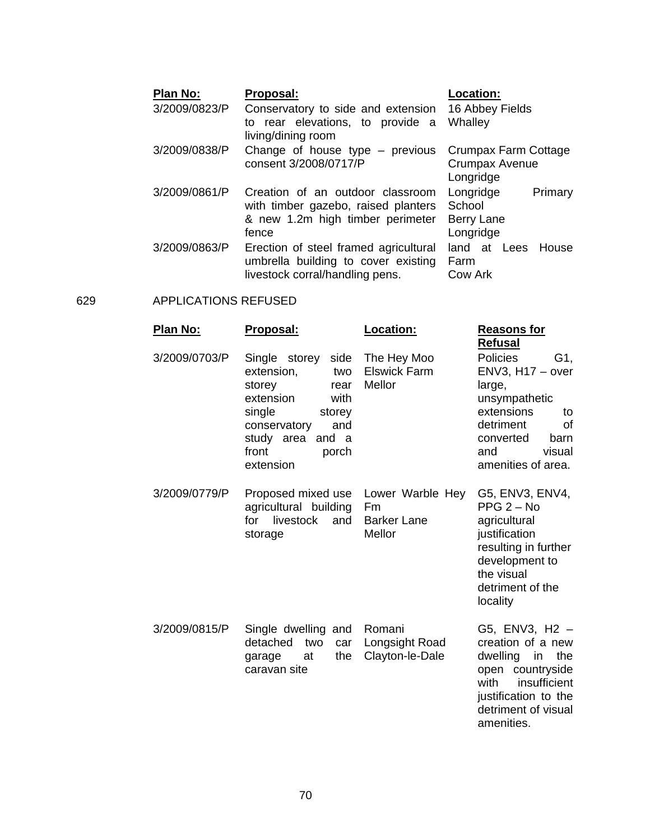| Plan No:      | Proposal:                                              | Location:             |
|---------------|--------------------------------------------------------|-----------------------|
| 3/2009/0823/P | Conservatory to side and extension                     | 16 Abbey Fields       |
|               | to rear elevations, to provide a<br>living/dining room | Whalley               |
| 3/2009/0838/P | Change of house type - previous                        | Crumpax Farm Cottage  |
|               | consent 3/2008/0717/P                                  | Crumpax Avenue        |
|               |                                                        | Longridge             |
| 3/2009/0861/P | Creation of an outdoor classroom                       | Longridge<br>Primary  |
|               | with timber gazebo, raised planters                    | School                |
|               | & new 1.2m high timber perimeter                       | Berry Lane            |
|               | fence                                                  | Longridge             |
| 3/2009/0863/P | Erection of steel framed agricultural                  | House<br>land at Lees |
|               | umbrella building to cover existing                    | Farm                  |
|               | livestock corral/handling pens.                        | <b>Cow Ark</b>        |

## 629 APPLICATIONS REFUSED

| <u>Plan No:</u> | Proposal:                                                                                                                                                                          | Location:                                              | <u>Reasons for</u><br><b>Refusal</b>                                                                                                                                       |
|-----------------|------------------------------------------------------------------------------------------------------------------------------------------------------------------------------------|--------------------------------------------------------|----------------------------------------------------------------------------------------------------------------------------------------------------------------------------|
| 3/2009/0703/P   | Single storey<br>side<br>extension,<br>two<br>storey<br>rear<br>extension<br>with<br>single<br>storey<br>and<br>conservatory<br>study area<br>and a<br>front<br>porch<br>extension | The Hey Moo<br><b>Elswick Farm</b><br>Mellor           | <b>Policies</b><br>G1,<br>$ENV3, H17 - over$<br>large,<br>unsympathetic<br>extensions<br>to<br>of<br>detriment<br>converted<br>barn<br>visual<br>and<br>amenities of area. |
| 3/2009/0779/P   | Proposed mixed use<br>agricultural building<br>livestock<br>for<br>and<br>storage                                                                                                  | Lower Warble Hey<br>Fm<br><b>Barker Lane</b><br>Mellor | G5, ENV3, ENV4,<br>$PPG 2 - No$<br>agricultural<br>justification<br>resulting in further<br>development to<br>the visual<br>detriment of the<br>locality                   |
| 3/2009/0815/P   | Single dwelling and<br>detached<br>two<br>car<br>the<br>garage<br>at<br>caravan site                                                                                               | Romani<br>Longsight Road<br>Clayton-le-Dale            | G5, ENV3, H2 -<br>creation of a new<br>dwelling<br>in<br>the<br>open countryside<br>with<br>insufficient<br>justification to the<br>detriment of visual<br>amenities.      |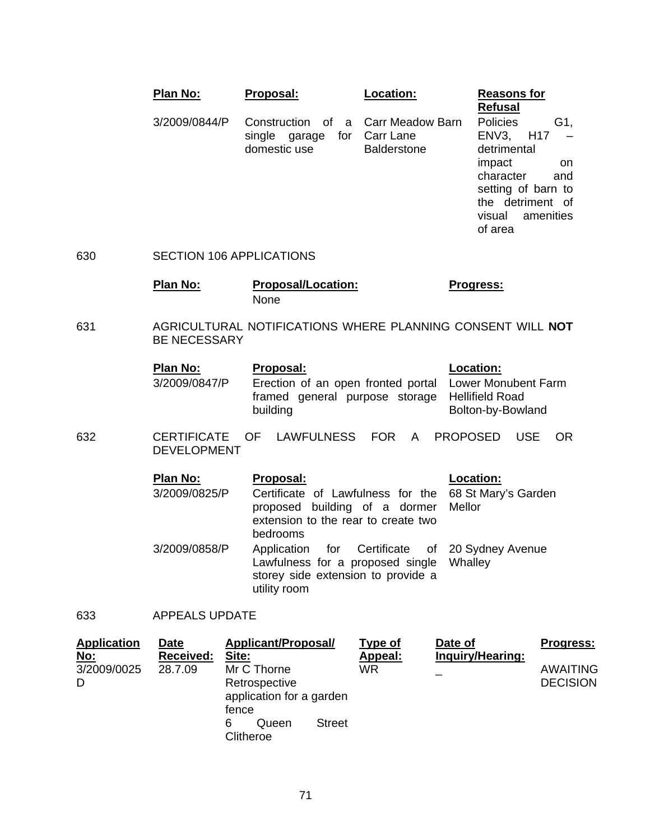|     | Plan No:                        | Proposal:                                                       | Location:                                                  | <b>Reasons for</b><br><b>Refusal</b>                                                                                                                                       |
|-----|---------------------------------|-----------------------------------------------------------------|------------------------------------------------------------|----------------------------------------------------------------------------------------------------------------------------------------------------------------------------|
|     | 3/2009/0844/P                   | Construction<br>of<br>a<br>single garage<br>for<br>domestic use | <b>Carr Meadow Barn</b><br>Carr Lane<br><b>Balderstone</b> | Policies<br>G1,<br>H <sub>17</sub><br>ENV3.<br>detrimental<br>impact<br>on<br>character<br>and<br>setting of barn to<br>the detriment of<br>amenities<br>visual<br>of area |
| 630 | <b>SECTION 106 APPLICATIONS</b> |                                                                 |                                                            |                                                                                                                                                                            |
|     | Plan No:                        | <b>Proposal/Location:</b><br>None                               |                                                            | <b>Progress:</b>                                                                                                                                                           |

631 AGRICULTURAL NOTIFICATIONS WHERE PLANNING CONSENT WILL **NOT** BE NECESSARY

| Plan No:      | Proposal:                                                                                                            | <b>Location:</b>  |
|---------------|----------------------------------------------------------------------------------------------------------------------|-------------------|
| 3/2009/0847/P | Erection of an open fronted portal Lower Monubent Farm<br>framed general purpose storage Hellifield Road<br>building | Bolton-by-Bowland |

632 CERTIFICATE OF LAWFULNESS FOR A PROPOSED USE OR DEVELOPMENT

| <b>Plan No:</b> | Proposal:                                                                                                                                         | <b>Location:</b> |
|-----------------|---------------------------------------------------------------------------------------------------------------------------------------------------|------------------|
| 3/2009/0825/P   | Certificate of Lawfulness for the 68 St Mary's Garden<br>proposed building of a dormer Mellor<br>extension to the rear to create two<br>bedrooms  |                  |
| 3/2009/0858/P   | Application for Certificate of 20 Sydney Avenue<br>Lawfulness for a proposed single Whalley<br>storey side extension to provide a<br>utility room |                  |

633 APPEALS UPDATE

| <b>Application</b>             | <b>Date</b>                 | Applicant/Proposal/                                                                      |               | Type of       | Date of          | <b>Progress:</b>                   |
|--------------------------------|-----------------------------|------------------------------------------------------------------------------------------|---------------|---------------|------------------|------------------------------------|
| <u>No:</u><br>3/2009/0025<br>D | <b>Received:</b><br>28.7.09 | Site:<br>Mr C Thorne<br>Retrospective<br>application for a garden<br>fence<br>Queen<br>6 | <b>Street</b> | Appeal:<br>WR | Inquiry/Hearing: | <b>AWAITING</b><br><b>DECISION</b> |
|                                |                             | Clitheroe                                                                                |               |               |                  |                                    |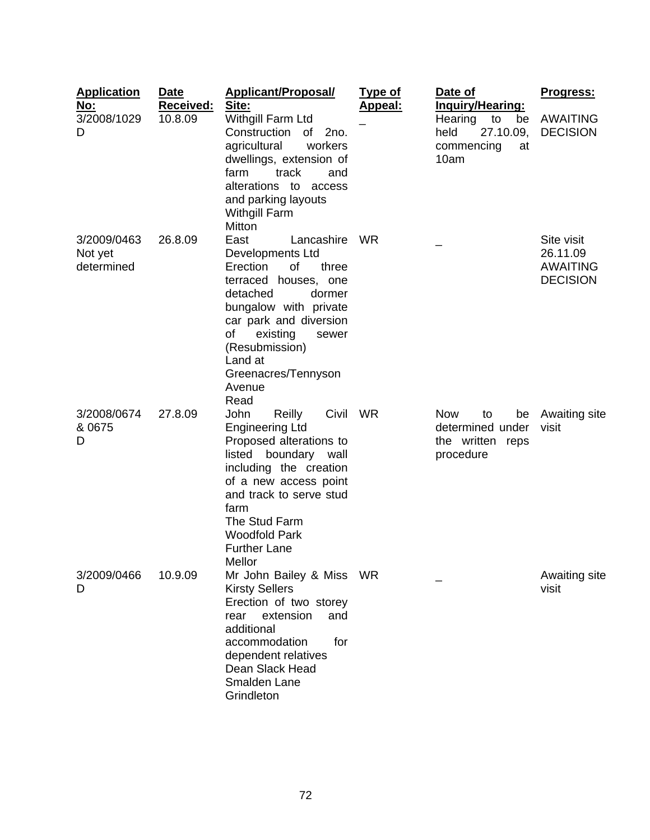| <b>Application</b><br><u>No:</u><br>3/2008/1029 | <b>Date</b><br>Received:<br>10.8.09 | <b>Applicant/Proposal/</b><br>Site:<br>Withgill Farm Ltd                                                                                                                                                                                                                   | <u>Type of</u><br><u>Appeal:</u> | Date of<br><u>Inquiry/Hearing:</u><br>Hearing<br>to<br>be                   | Progress:<br><b>AWAITING</b>                                 |
|-------------------------------------------------|-------------------------------------|----------------------------------------------------------------------------------------------------------------------------------------------------------------------------------------------------------------------------------------------------------------------------|----------------------------------|-----------------------------------------------------------------------------|--------------------------------------------------------------|
| D                                               |                                     | Construction<br>of<br>2no.<br>agricultural<br>workers<br>dwellings, extension of<br>track<br>farm<br>and<br>alterations to access<br>and parking layouts<br><b>Withgill Farm</b><br>Mitton                                                                                 |                                  | 27.10.09,<br>held<br>commencing<br>at<br>10am                               | <b>DECISION</b>                                              |
| 3/2009/0463<br>Not yet<br>determined            | 26.8.09                             | East<br>Lancashire<br>Developments Ltd<br>Erection<br>οf<br>three<br>terraced houses, one<br>detached<br>dormer<br>bungalow with private<br>car park and diversion<br>οf<br>existing<br>sewer<br>(Resubmission)<br>Land at<br>Greenacres/Tennyson<br>Avenue<br>Read        | WR                               |                                                                             | Site visit<br>26.11.09<br><b>AWAITING</b><br><b>DECISION</b> |
| 3/2008/0674<br>& 0675<br>D                      | 27.8.09                             | Civil WR<br>John<br>Reilly<br><b>Engineering Ltd</b><br>Proposed alterations to<br>boundary wall<br>listed<br>including the creation<br>of a new access point<br>and track to serve stud<br>farm<br>The Stud Farm<br><b>Woodfold Park</b><br><b>Further Lane</b><br>Mellor |                                  | <b>Now</b><br>to<br>be<br>determined under<br>the written reps<br>procedure | Awaiting site<br>visit                                       |
| 3/2009/0466<br>D                                | 10.9.09                             | Mr John Bailey & Miss WR<br><b>Kirsty Sellers</b><br>Erection of two storey<br>extension<br>rear<br>and<br>additional<br>accommodation<br>for<br>dependent relatives<br>Dean Slack Head<br>Smalden Lane<br>Grindleton                                                      |                                  |                                                                             | Awaiting site<br>visit                                       |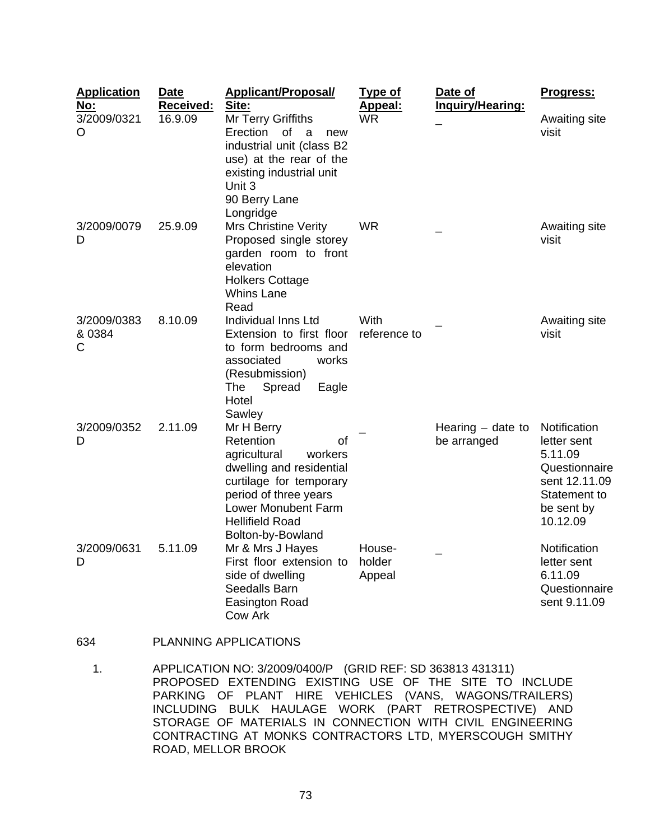| <b>Application</b><br><u>No:</u> | <b>Date</b><br>Received: | <b>Applicant/Proposal/</b><br>Site:                                                                                                                                                                            | <b>Type of</b><br>Appeal:  | Date of<br>Inquiry/Hearing:        | Progress:                                                                                                          |
|----------------------------------|--------------------------|----------------------------------------------------------------------------------------------------------------------------------------------------------------------------------------------------------------|----------------------------|------------------------------------|--------------------------------------------------------------------------------------------------------------------|
| 3/2009/0321<br>O                 | 16.9.09                  | Mr Terry Griffiths<br>Erection<br>of<br>a<br>new<br>industrial unit (class B2<br>use) at the rear of the<br>existing industrial unit<br>Unit 3<br>90 Berry Lane<br>Longridge                                   | <b>WR</b>                  |                                    | Awaiting site<br>visit                                                                                             |
| 3/2009/0079<br>D                 | 25.9.09                  | <b>Mrs Christine Verity</b><br>Proposed single storey<br>garden room to front<br>elevation<br><b>Holkers Cottage</b><br><b>Whins Lane</b><br>Read                                                              | <b>WR</b>                  |                                    | Awaiting site<br>visit                                                                                             |
| 3/2009/0383<br>& 0384<br>C       | 8.10.09                  | Individual Inns Ltd<br>Extension to first floor<br>to form bedrooms and<br>associated<br>works<br>(Resubmission)<br>The<br>Spread<br>Eagle<br>Hotel<br>Sawley                                                  | With<br>reference to       |                                    | Awaiting site<br>visit                                                                                             |
| 3/2009/0352<br>D                 | 2.11.09                  | Mr H Berry<br>Retention<br>οf<br>agricultural<br>workers<br>dwelling and residential<br>curtilage for temporary<br>period of three years<br>Lower Monubent Farm<br><b>Hellifield Road</b><br>Bolton-by-Bowland |                            | Hearing $-$ date to<br>be arranged | Notification<br>letter sent<br>5.11.09<br>Questionnaire<br>sent 12.11.09<br>Statement to<br>be sent by<br>10.12.09 |
| 3/2009/0631<br>D                 | 5.11.09                  | Mr & Mrs J Hayes<br>First floor extension to<br>side of dwelling<br>Seedalls Barn<br><b>Easington Road</b><br><b>Cow Ark</b>                                                                                   | House-<br>holder<br>Appeal |                                    | Notification<br>letter sent<br>6.11.09<br>Questionnaire<br>sent 9.11.09                                            |

## 634 PLANNING APPLICATIONS

 1. APPLICATION NO: 3/2009/0400/P (GRID REF: SD 363813 431311) PROPOSED EXTENDING EXISTING USE OF THE SITE TO INCLUDE PARKING OF PLANT HIRE VEHICLES (VANS, WAGONS/TRAILERS) INCLUDING BULK HAULAGE WORK (PART RETROSPECTIVE) AND STORAGE OF MATERIALS IN CONNECTION WITH CIVIL ENGINEERING CONTRACTING AT MONKS CONTRACTORS LTD, MYERSCOUGH SMITHY ROAD, MELLOR BROOK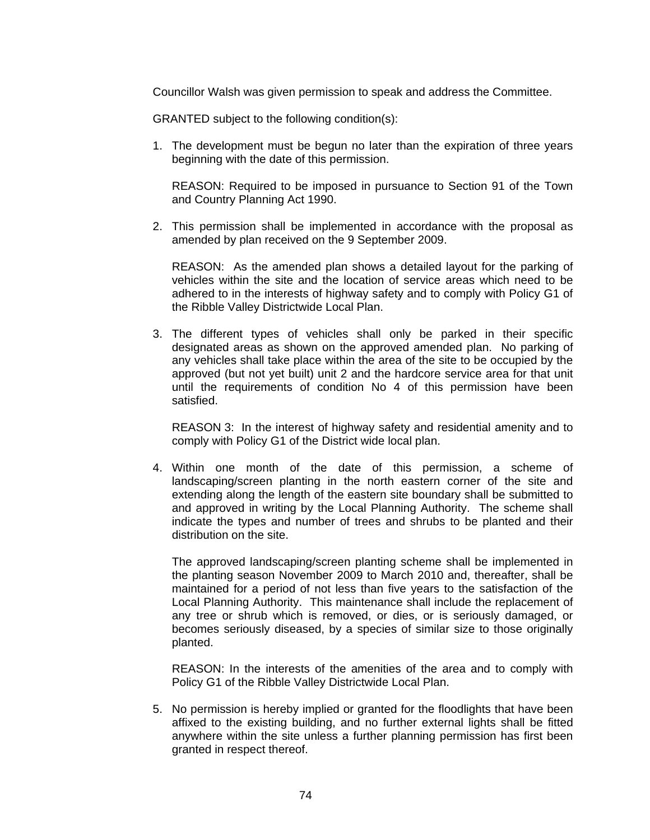Councillor Walsh was given permission to speak and address the Committee.

GRANTED subject to the following condition(s):

1. The development must be begun no later than the expiration of three years beginning with the date of this permission.

 REASON: Required to be imposed in pursuance to Section 91 of the Town and Country Planning Act 1990.

2. This permission shall be implemented in accordance with the proposal as amended by plan received on the 9 September 2009.

 REASON: As the amended plan shows a detailed layout for the parking of vehicles within the site and the location of service areas which need to be adhered to in the interests of highway safety and to comply with Policy G1 of the Ribble Valley Districtwide Local Plan.

3. The different types of vehicles shall only be parked in their specific designated areas as shown on the approved amended plan. No parking of any vehicles shall take place within the area of the site to be occupied by the approved (but not yet built) unit 2 and the hardcore service area for that unit until the requirements of condition No 4 of this permission have been satisfied.

 REASON 3: In the interest of highway safety and residential amenity and to comply with Policy G1 of the District wide local plan.

4. Within one month of the date of this permission, a scheme of landscaping/screen planting in the north eastern corner of the site and extending along the length of the eastern site boundary shall be submitted to and approved in writing by the Local Planning Authority. The scheme shall indicate the types and number of trees and shrubs to be planted and their distribution on the site.

 The approved landscaping/screen planting scheme shall be implemented in the planting season November 2009 to March 2010 and, thereafter, shall be maintained for a period of not less than five years to the satisfaction of the Local Planning Authority. This maintenance shall include the replacement of any tree or shrub which is removed, or dies, or is seriously damaged, or becomes seriously diseased, by a species of similar size to those originally planted.

 REASON: In the interests of the amenities of the area and to comply with Policy G1 of the Ribble Valley Districtwide Local Plan.

5. No permission is hereby implied or granted for the floodlights that have been affixed to the existing building, and no further external lights shall be fitted anywhere within the site unless a further planning permission has first been granted in respect thereof.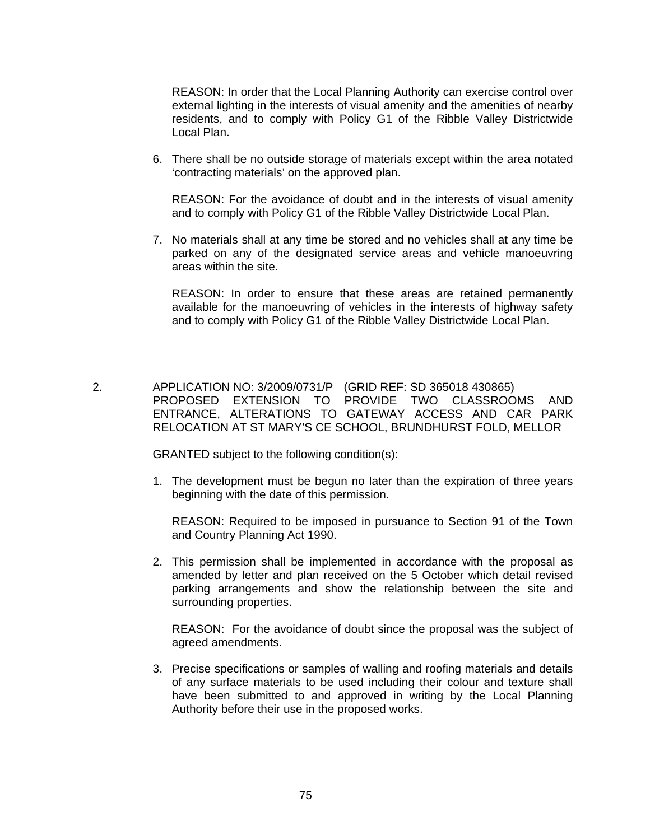REASON: In order that the Local Planning Authority can exercise control over external lighting in the interests of visual amenity and the amenities of nearby residents, and to comply with Policy G1 of the Ribble Valley Districtwide Local Plan.

6. There shall be no outside storage of materials except within the area notated 'contracting materials' on the approved plan.

 REASON: For the avoidance of doubt and in the interests of visual amenity and to comply with Policy G1 of the Ribble Valley Districtwide Local Plan.

7. No materials shall at any time be stored and no vehicles shall at any time be parked on any of the designated service areas and vehicle manoeuvring areas within the site.

 REASON: In order to ensure that these areas are retained permanently available for the manoeuvring of vehicles in the interests of highway safety and to comply with Policy G1 of the Ribble Valley Districtwide Local Plan.

 2. APPLICATION NO: 3/2009/0731/P (GRID REF: SD 365018 430865) PROPOSED EXTENSION TO PROVIDE TWO CLASSROOMS AND ENTRANCE, ALTERATIONS TO GATEWAY ACCESS AND CAR PARK RELOCATION AT ST MARY'S CE SCHOOL, BRUNDHURST FOLD, MELLOR

GRANTED subject to the following condition(s):

1. The development must be begun no later than the expiration of three years beginning with the date of this permission.

 REASON: Required to be imposed in pursuance to Section 91 of the Town and Country Planning Act 1990.

2. This permission shall be implemented in accordance with the proposal as amended by letter and plan received on the 5 October which detail revised parking arrangements and show the relationship between the site and surrounding properties.

 REASON: For the avoidance of doubt since the proposal was the subject of agreed amendments.

3. Precise specifications or samples of walling and roofing materials and details of any surface materials to be used including their colour and texture shall have been submitted to and approved in writing by the Local Planning Authority before their use in the proposed works.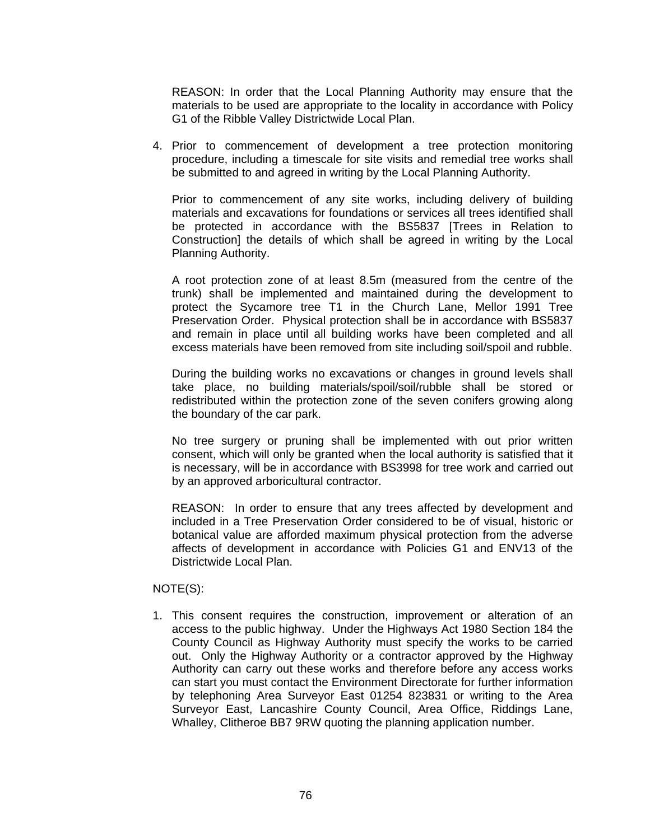REASON: In order that the Local Planning Authority may ensure that the materials to be used are appropriate to the locality in accordance with Policy G1 of the Ribble Valley Districtwide Local Plan.

4. Prior to commencement of development a tree protection monitoring procedure, including a timescale for site visits and remedial tree works shall be submitted to and agreed in writing by the Local Planning Authority.

Prior to commencement of any site works, including delivery of building materials and excavations for foundations or services all trees identified shall be protected in accordance with the BS5837 [Trees in Relation to Construction] the details of which shall be agreed in writing by the Local Planning Authority.

 A root protection zone of at least 8.5m (measured from the centre of the trunk) shall be implemented and maintained during the development to protect the Sycamore tree T1 in the Church Lane, Mellor 1991 Tree Preservation Order. Physical protection shall be in accordance with BS5837 and remain in place until all building works have been completed and all excess materials have been removed from site including soil/spoil and rubble.

 During the building works no excavations or changes in ground levels shall take place, no building materials/spoil/soil/rubble shall be stored or redistributed within the protection zone of the seven conifers growing along the boundary of the car park.

 No tree surgery or pruning shall be implemented with out prior written consent, which will only be granted when the local authority is satisfied that it is necessary, will be in accordance with BS3998 for tree work and carried out by an approved arboricultural contractor.

 REASON: In order to ensure that any trees affected by development and included in a Tree Preservation Order considered to be of visual, historic or botanical value are afforded maximum physical protection from the adverse affects of development in accordance with Policies G1 and ENV13 of the Districtwide Local Plan.

## NOTE(S):

1. This consent requires the construction, improvement or alteration of an access to the public highway. Under the Highways Act 1980 Section 184 the County Council as Highway Authority must specify the works to be carried out. Only the Highway Authority or a contractor approved by the Highway Authority can carry out these works and therefore before any access works can start you must contact the Environment Directorate for further information by telephoning Area Surveyor East 01254 823831 or writing to the Area Surveyor East, Lancashire County Council, Area Office, Riddings Lane, Whalley, Clitheroe BB7 9RW quoting the planning application number.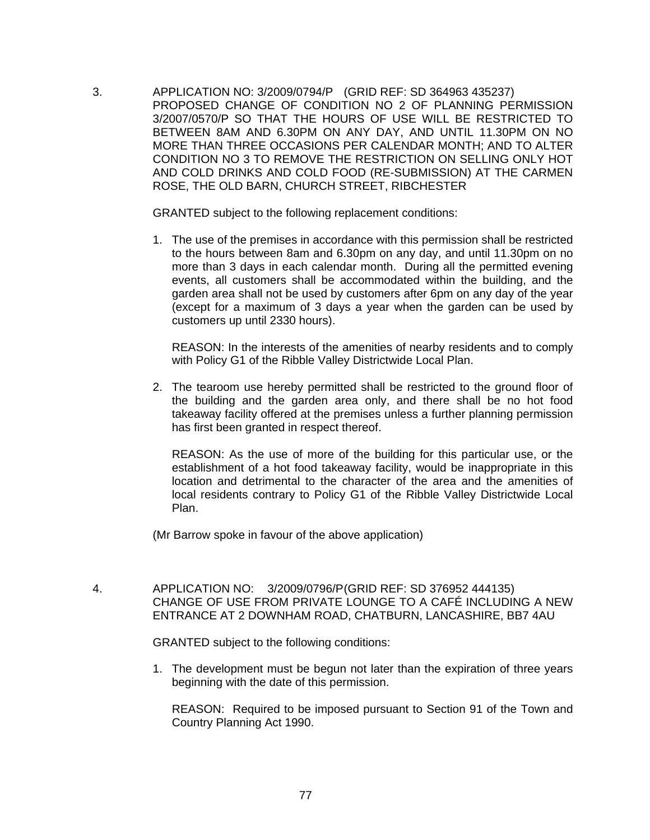3. APPLICATION NO: 3/2009/0794/P (GRID REF: SD 364963 435237) PROPOSED CHANGE OF CONDITION NO 2 OF PLANNING PERMISSION 3/2007/0570/P SO THAT THE HOURS OF USE WILL BE RESTRICTED TO BETWEEN 8AM AND 6.30PM ON ANY DAY, AND UNTIL 11.30PM ON NO MORE THAN THREE OCCASIONS PER CALENDAR MONTH; AND TO ALTER CONDITION NO 3 TO REMOVE THE RESTRICTION ON SELLING ONLY HOT AND COLD DRINKS AND COLD FOOD (RE-SUBMISSION) AT THE CARMEN ROSE, THE OLD BARN, CHURCH STREET, RIBCHESTER

GRANTED subject to the following replacement conditions:

1. The use of the premises in accordance with this permission shall be restricted to the hours between 8am and 6.30pm on any day, and until 11.30pm on no more than 3 days in each calendar month. During all the permitted evening events, all customers shall be accommodated within the building, and the garden area shall not be used by customers after 6pm on any day of the year (except for a maximum of 3 days a year when the garden can be used by customers up until 2330 hours).

 REASON: In the interests of the amenities of nearby residents and to comply with Policy G1 of the Ribble Valley Districtwide Local Plan.

2. The tearoom use hereby permitted shall be restricted to the ground floor of the building and the garden area only, and there shall be no hot food takeaway facility offered at the premises unless a further planning permission has first been granted in respect thereof.

 REASON: As the use of more of the building for this particular use, or the establishment of a hot food takeaway facility, would be inappropriate in this location and detrimental to the character of the area and the amenities of local residents contrary to Policy G1 of the Ribble Valley Districtwide Local Plan.

(Mr Barrow spoke in favour of the above application)

 4. APPLICATION NO: 3/2009/0796/P (GRID REF: SD 376952 444135) CHANGE OF USE FROM PRIVATE LOUNGE TO A CAFÉ INCLUDING A NEW ENTRANCE AT 2 DOWNHAM ROAD, CHATBURN, LANCASHIRE, BB7 4AU

GRANTED subject to the following conditions:

1. The development must be begun not later than the expiration of three years beginning with the date of this permission.

 REASON: Required to be imposed pursuant to Section 91 of the Town and Country Planning Act 1990.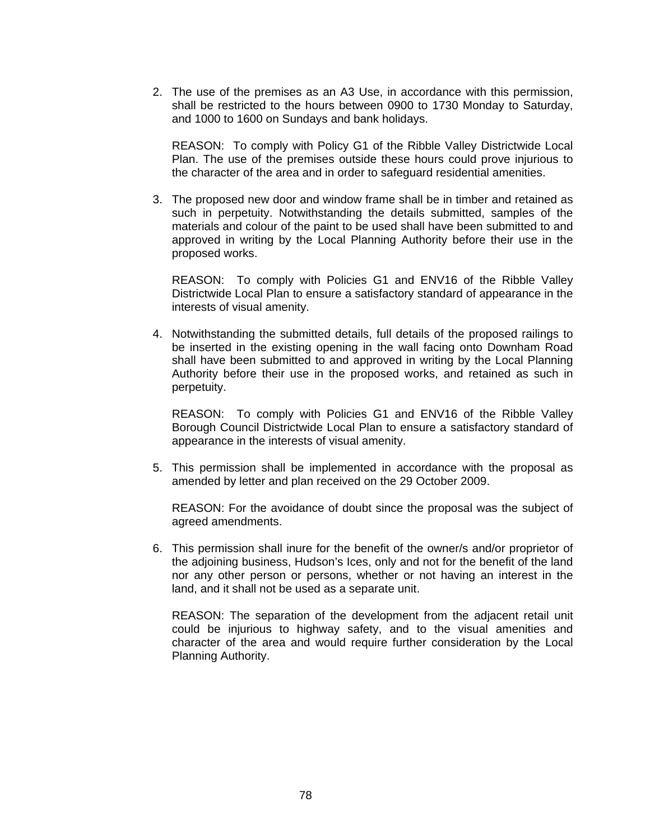2. The use of the premises as an A3 Use, in accordance with this permission, shall be restricted to the hours between 0900 to 1730 Monday to Saturday, and 1000 to 1600 on Sundays and bank holidays.

 REASON: To comply with Policy G1 of the Ribble Valley Districtwide Local Plan. The use of the premises outside these hours could prove injurious to the character of the area and in order to safeguard residential amenities.

3. The proposed new door and window frame shall be in timber and retained as such in perpetuity. Notwithstanding the details submitted, samples of the materials and colour of the paint to be used shall have been submitted to and approved in writing by the Local Planning Authority before their use in the proposed works.

 REASON: To comply with Policies G1 and ENV16 of the Ribble Valley Districtwide Local Plan to ensure a satisfactory standard of appearance in the interests of visual amenity.

4. Notwithstanding the submitted details, full details of the proposed railings to be inserted in the existing opening in the wall facing onto Downham Road shall have been submitted to and approved in writing by the Local Planning Authority before their use in the proposed works, and retained as such in perpetuity.

 REASON: To comply with Policies G1 and ENV16 of the Ribble Valley Borough Council Districtwide Local Plan to ensure a satisfactory standard of appearance in the interests of visual amenity.

5. This permission shall be implemented in accordance with the proposal as amended by letter and plan received on the 29 October 2009.

 REASON: For the avoidance of doubt since the proposal was the subject of agreed amendments.

6. This permission shall inure for the benefit of the owner/s and/or proprietor of the adjoining business, Hudson's Ices, only and not for the benefit of the land nor any other person or persons, whether or not having an interest in the land, and it shall not be used as a separate unit.

 REASON: The separation of the development from the adjacent retail unit could be injurious to highway safety, and to the visual amenities and character of the area and would require further consideration by the Local Planning Authority.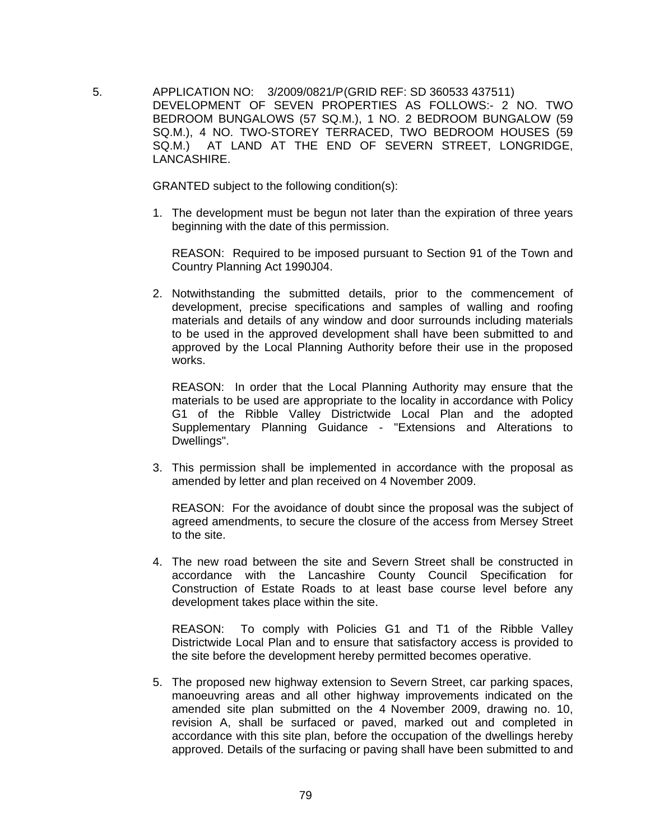5. APPLICATION NO: 3/2009/0821/P (GRID REF: SD 360533 437511) DEVELOPMENT OF SEVEN PROPERTIES AS FOLLOWS:- 2 NO. TWO BEDROOM BUNGALOWS (57 SQ.M.), 1 NO. 2 BEDROOM BUNGALOW (59 SQ.M.), 4 NO. TWO-STOREY TERRACED, TWO BEDROOM HOUSES (59 SQ.M.) AT LAND AT THE END OF SEVERN STREET, LONGRIDGE, LANCASHIRE.

GRANTED subject to the following condition(s):

1. The development must be begun not later than the expiration of three years beginning with the date of this permission.

 REASON: Required to be imposed pursuant to Section 91 of the Town and Country Planning Act 1990J04.

2. Notwithstanding the submitted details, prior to the commencement of development, precise specifications and samples of walling and roofing materials and details of any window and door surrounds including materials to be used in the approved development shall have been submitted to and approved by the Local Planning Authority before their use in the proposed works.

 REASON: In order that the Local Planning Authority may ensure that the materials to be used are appropriate to the locality in accordance with Policy G1 of the Ribble Valley Districtwide Local Plan and the adopted Supplementary Planning Guidance - "Extensions and Alterations to Dwellings".

3. This permission shall be implemented in accordance with the proposal as amended by letter and plan received on 4 November 2009.

 REASON: For the avoidance of doubt since the proposal was the subject of agreed amendments, to secure the closure of the access from Mersey Street to the site.

4. The new road between the site and Severn Street shall be constructed in accordance with the Lancashire County Council Specification for Construction of Estate Roads to at least base course level before any development takes place within the site.

 REASON: To comply with Policies G1 and T1 of the Ribble Valley Districtwide Local Plan and to ensure that satisfactory access is provided to the site before the development hereby permitted becomes operative.

5. The proposed new highway extension to Severn Street, car parking spaces, manoeuvring areas and all other highway improvements indicated on the amended site plan submitted on the 4 November 2009, drawing no. 10, revision A, shall be surfaced or paved, marked out and completed in accordance with this site plan, before the occupation of the dwellings hereby approved. Details of the surfacing or paving shall have been submitted to and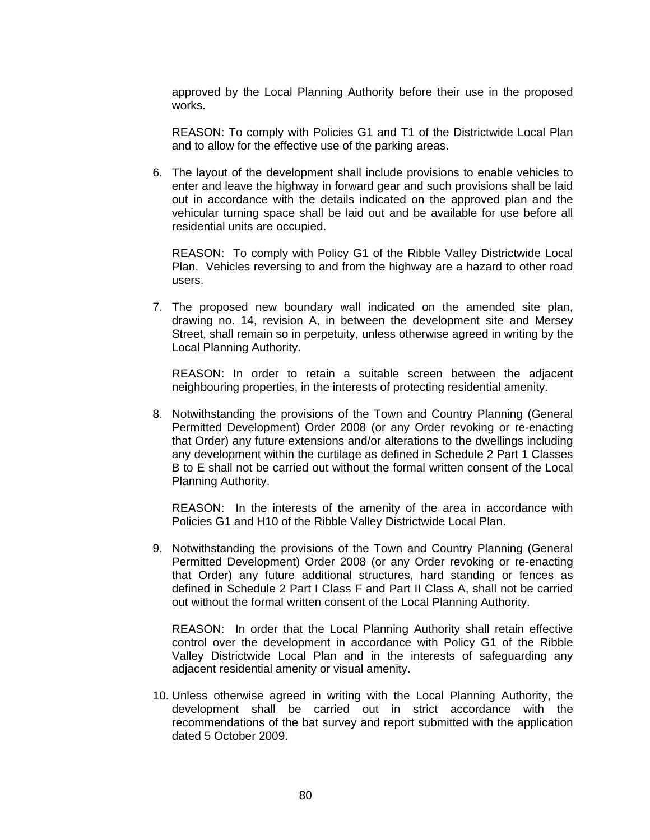approved by the Local Planning Authority before their use in the proposed works.

 REASON: To comply with Policies G1 and T1 of the Districtwide Local Plan and to allow for the effective use of the parking areas.

6. The layout of the development shall include provisions to enable vehicles to enter and leave the highway in forward gear and such provisions shall be laid out in accordance with the details indicated on the approved plan and the vehicular turning space shall be laid out and be available for use before all residential units are occupied.

 REASON: To comply with Policy G1 of the Ribble Valley Districtwide Local Plan. Vehicles reversing to and from the highway are a hazard to other road users.

7. The proposed new boundary wall indicated on the amended site plan, drawing no. 14, revision A, in between the development site and Mersey Street, shall remain so in perpetuity, unless otherwise agreed in writing by the Local Planning Authority.

 REASON: In order to retain a suitable screen between the adjacent neighbouring properties, in the interests of protecting residential amenity.

8. Notwithstanding the provisions of the Town and Country Planning (General Permitted Development) Order 2008 (or any Order revoking or re-enacting that Order) any future extensions and/or alterations to the dwellings including any development within the curtilage as defined in Schedule 2 Part 1 Classes B to E shall not be carried out without the formal written consent of the Local Planning Authority.

 REASON: In the interests of the amenity of the area in accordance with Policies G1 and H10 of the Ribble Valley Districtwide Local Plan.

9. Notwithstanding the provisions of the Town and Country Planning (General Permitted Development) Order 2008 (or any Order revoking or re-enacting that Order) any future additional structures, hard standing or fences as defined in Schedule 2 Part I Class F and Part II Class A, shall not be carried out without the formal written consent of the Local Planning Authority.

 REASON: In order that the Local Planning Authority shall retain effective control over the development in accordance with Policy G1 of the Ribble Valley Districtwide Local Plan and in the interests of safeguarding any adjacent residential amenity or visual amenity.

10. Unless otherwise agreed in writing with the Local Planning Authority, the development shall be carried out in strict accordance with the recommendations of the bat survey and report submitted with the application dated 5 October 2009.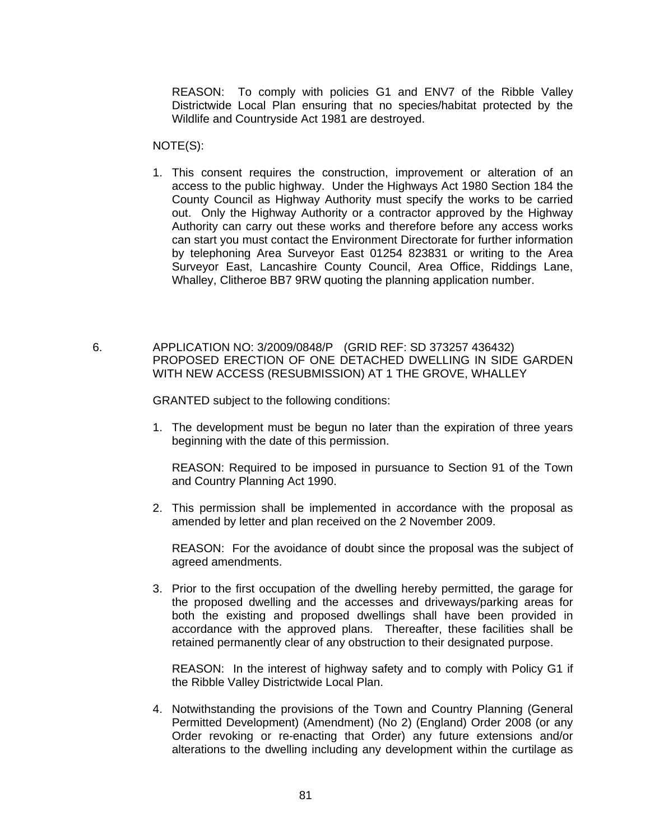REASON: To comply with policies G1 and ENV7 of the Ribble Valley Districtwide Local Plan ensuring that no species/habitat protected by the Wildlife and Countryside Act 1981 are destroyed.

NOTE(S):

- 1. This consent requires the construction, improvement or alteration of an access to the public highway. Under the Highways Act 1980 Section 184 the County Council as Highway Authority must specify the works to be carried out. Only the Highway Authority or a contractor approved by the Highway Authority can carry out these works and therefore before any access works can start you must contact the Environment Directorate for further information by telephoning Area Surveyor East 01254 823831 or writing to the Area Surveyor East, Lancashire County Council, Area Office, Riddings Lane, Whalley, Clitheroe BB7 9RW quoting the planning application number.
- 6. APPLICATION NO: 3/2009/0848/P (GRID REF: SD 373257 436432) PROPOSED ERECTION OF ONE DETACHED DWELLING IN SIDE GARDEN WITH NEW ACCESS (RESUBMISSION) AT 1 THE GROVE, WHALLEY

GRANTED subject to the following conditions:

1. The development must be begun no later than the expiration of three years beginning with the date of this permission.

 REASON: Required to be imposed in pursuance to Section 91 of the Town and Country Planning Act 1990.

2. This permission shall be implemented in accordance with the proposal as amended by letter and plan received on the 2 November 2009.

 REASON: For the avoidance of doubt since the proposal was the subject of agreed amendments.

3. Prior to the first occupation of the dwelling hereby permitted, the garage for the proposed dwelling and the accesses and driveways/parking areas for both the existing and proposed dwellings shall have been provided in accordance with the approved plans. Thereafter, these facilities shall be retained permanently clear of any obstruction to their designated purpose.

 REASON: In the interest of highway safety and to comply with Policy G1 if the Ribble Valley Districtwide Local Plan.

4. Notwithstanding the provisions of the Town and Country Planning (General Permitted Development) (Amendment) (No 2) (England) Order 2008 (or any Order revoking or re-enacting that Order) any future extensions and/or alterations to the dwelling including any development within the curtilage as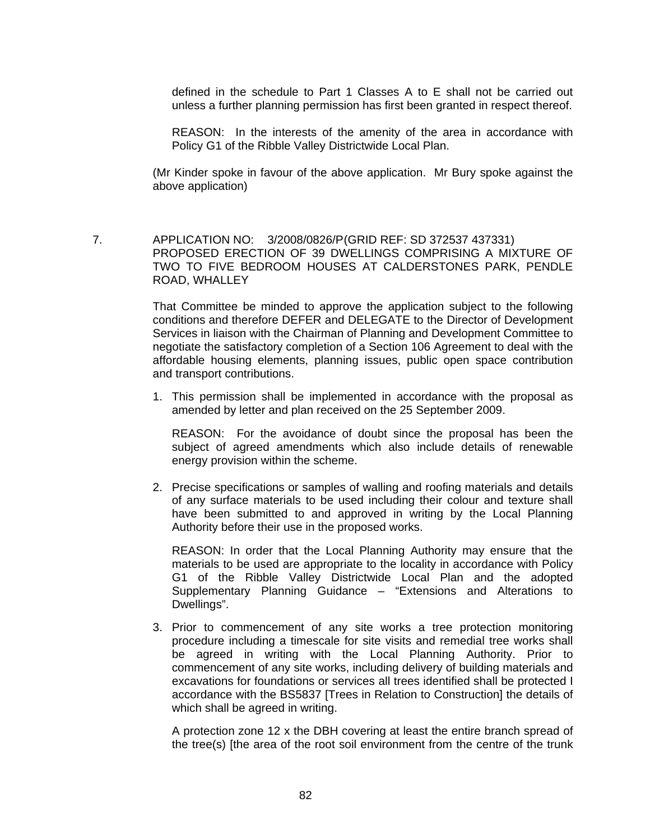defined in the schedule to Part 1 Classes A to E shall not be carried out unless a further planning permission has first been granted in respect thereof.

 REASON: In the interests of the amenity of the area in accordance with Policy G1 of the Ribble Valley Districtwide Local Plan.

(Mr Kinder spoke in favour of the above application. Mr Bury spoke against the above application)

 7. APPLICATION NO: 3/2008/0826/P (GRID REF: SD 372537 437331) PROPOSED ERECTION OF 39 DWELLINGS COMPRISING A MIXTURE OF TWO TO FIVE BEDROOM HOUSES AT CALDERSTONES PARK, PENDLE ROAD, WHALLEY

> That Committee be minded to approve the application subject to the following conditions and therefore DEFER and DELEGATE to the Director of Development Services in liaison with the Chairman of Planning and Development Committee to negotiate the satisfactory completion of a Section 106 Agreement to deal with the affordable housing elements, planning issues, public open space contribution and transport contributions.

> 1. This permission shall be implemented in accordance with the proposal as amended by letter and plan received on the 25 September 2009.

 REASON: For the avoidance of doubt since the proposal has been the subject of agreed amendments which also include details of renewable energy provision within the scheme.

2. Precise specifications or samples of walling and roofing materials and details of any surface materials to be used including their colour and texture shall have been submitted to and approved in writing by the Local Planning Authority before their use in the proposed works.

 REASON: In order that the Local Planning Authority may ensure that the materials to be used are appropriate to the locality in accordance with Policy G1 of the Ribble Valley Districtwide Local Plan and the adopted Supplementary Planning Guidance – "Extensions and Alterations to Dwellings".

3. Prior to commencement of any site works a tree protection monitoring procedure including a timescale for site visits and remedial tree works shall be agreed in writing with the Local Planning Authority. Prior to commencement of any site works, including delivery of building materials and excavations for foundations or services all trees identified shall be protected I accordance with the BS5837 [Trees in Relation to Construction] the details of which shall be agreed in writing.

 A protection zone 12 x the DBH covering at least the entire branch spread of the tree(s) [the area of the root soil environment from the centre of the trunk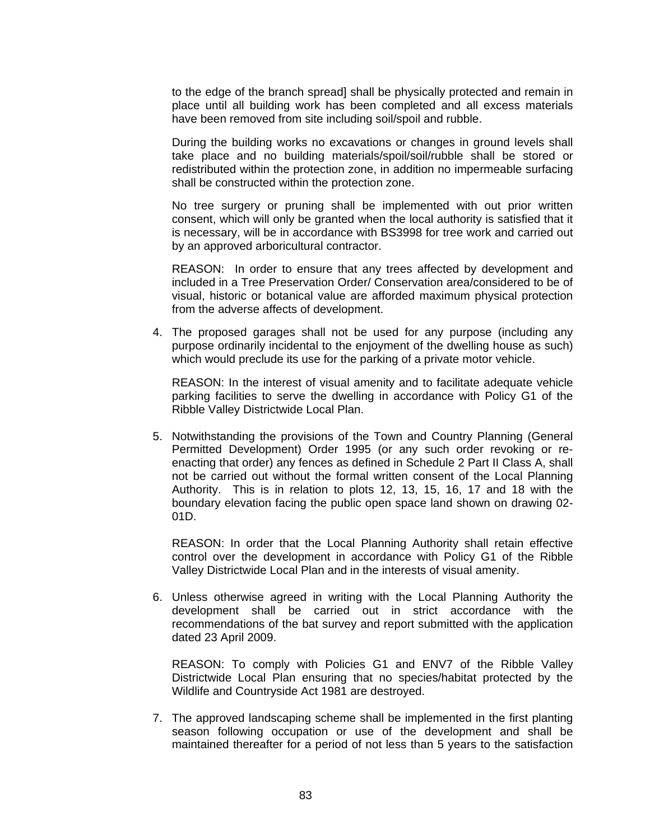to the edge of the branch spread] shall be physically protected and remain in place until all building work has been completed and all excess materials have been removed from site including soil/spoil and rubble.

 During the building works no excavations or changes in ground levels shall take place and no building materials/spoil/soil/rubble shall be stored or redistributed within the protection zone, in addition no impermeable surfacing shall be constructed within the protection zone.

 No tree surgery or pruning shall be implemented with out prior written consent, which will only be granted when the local authority is satisfied that it is necessary, will be in accordance with BS3998 for tree work and carried out by an approved arboricultural contractor.

 REASON: In order to ensure that any trees affected by development and included in a Tree Preservation Order/ Conservation area/considered to be of visual, historic or botanical value are afforded maximum physical protection from the adverse affects of development.

4. The proposed garages shall not be used for any purpose (including any purpose ordinarily incidental to the enjoyment of the dwelling house as such) which would preclude its use for the parking of a private motor vehicle.

 REASON: In the interest of visual amenity and to facilitate adequate vehicle parking facilities to serve the dwelling in accordance with Policy G1 of the Ribble Valley Districtwide Local Plan.

5. Notwithstanding the provisions of the Town and Country Planning (General Permitted Development) Order 1995 (or any such order revoking or reenacting that order) any fences as defined in Schedule 2 Part II Class A, shall not be carried out without the formal written consent of the Local Planning Authority. This is in relation to plots 12, 13, 15, 16, 17 and 18 with the boundary elevation facing the public open space land shown on drawing 02- 01D.

 REASON: In order that the Local Planning Authority shall retain effective control over the development in accordance with Policy G1 of the Ribble Valley Districtwide Local Plan and in the interests of visual amenity.

6. Unless otherwise agreed in writing with the Local Planning Authority the development shall be carried out in strict accordance with the recommendations of the bat survey and report submitted with the application dated 23 April 2009.

 REASON: To comply with Policies G1 and ENV7 of the Ribble Valley Districtwide Local Plan ensuring that no species/habitat protected by the Wildlife and Countryside Act 1981 are destroyed.

7. The approved landscaping scheme shall be implemented in the first planting season following occupation or use of the development and shall be maintained thereafter for a period of not less than 5 years to the satisfaction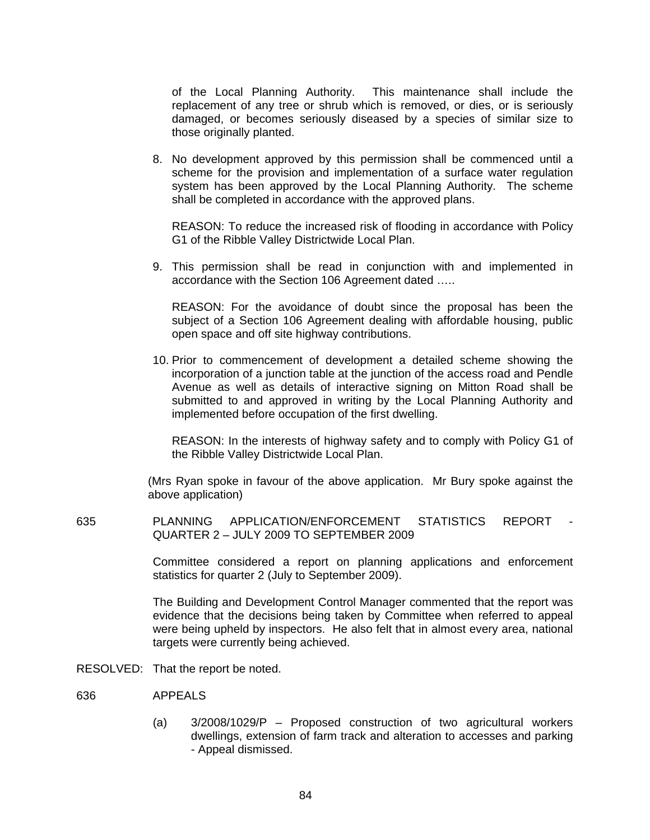of the Local Planning Authority. This maintenance shall include the replacement of any tree or shrub which is removed, or dies, or is seriously damaged, or becomes seriously diseased by a species of similar size to those originally planted.

8. No development approved by this permission shall be commenced until a scheme for the provision and implementation of a surface water regulation system has been approved by the Local Planning Authority. The scheme shall be completed in accordance with the approved plans.

 REASON: To reduce the increased risk of flooding in accordance with Policy G1 of the Ribble Valley Districtwide Local Plan.

9. This permission shall be read in conjunction with and implemented in accordance with the Section 106 Agreement dated …..

 REASON: For the avoidance of doubt since the proposal has been the subject of a Section 106 Agreement dealing with affordable housing, public open space and off site highway contributions.

10. Prior to commencement of development a detailed scheme showing the incorporation of a junction table at the junction of the access road and Pendle Avenue as well as details of interactive signing on Mitton Road shall be submitted to and approved in writing by the Local Planning Authority and implemented before occupation of the first dwelling.

 REASON: In the interests of highway safety and to comply with Policy G1 of the Ribble Valley Districtwide Local Plan.

(Mrs Ryan spoke in favour of the above application. Mr Bury spoke against the above application)

635 PLANNING APPLICATION/ENFORCEMENT STATISTICS REPORT - QUARTER 2 – JULY 2009 TO SEPTEMBER 2009

> Committee considered a report on planning applications and enforcement statistics for quarter 2 (July to September 2009).

> The Building and Development Control Manager commented that the report was evidence that the decisions being taken by Committee when referred to appeal were being upheld by inspectors. He also felt that in almost every area, national targets were currently being achieved.

RESOLVED: That the report be noted.

- 636 APPEALS
	- (a) 3/2008/1029/P Proposed construction of two agricultural workers dwellings, extension of farm track and alteration to accesses and parking - Appeal dismissed.